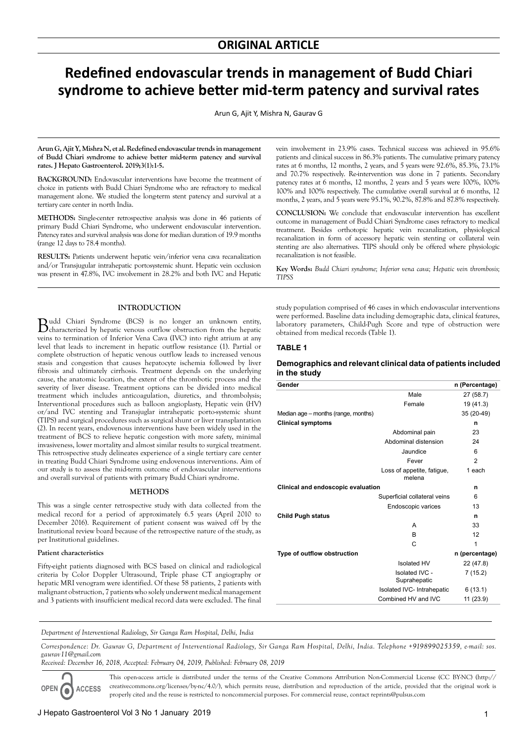# **Redefined endovascular trends in management of Budd Chiari syndrome to achieve better mid-term patency and survival rates**

Arun G, Ajit Y, Mishra N, Gaurav G

**Arun G, Ajit Y, Mishra N, et al. Redefined endovascular trends in management of Budd Chiari syndrome to achieve better mid-term patency and survival rates. J Hepato Gastroenterol. 2019;3(1):1-5.**

BACKGROUND: Endovascular interventions have become the treatment of choice in patients with Budd Chiari Syndrome who are refractory to medical management alone. We studied the long-term stent patency and survival at a tertiary care center in north India.

**METHODS:** Single-center retrospective analysis was done in 46 patients of primary Budd Chiari Syndrome, who underwent endovascular intervention. Patency rates and survival analysis was done for median duration of 19.9 months (range 12 days to 78.4 months).

**RESULTS:** Patients underwent hepatic vein/inferior vena cava recanalization and/or Transjugular intrahepatic portosystemic shunt. Hepatic vein occlusion was present in 47.8%, IVC involvement in 28.2% and both IVC and Hepatic

### **INTRODUCTION**

Budd Chiari Syndrome (BCS) is no longer an unknown entity, characterized by hepatic venous outflow obstruction from the hepatic veins to termination of Inferior Vena Cava (IVC) into right atrium at any level that leads to increment in hepatic outflow resistance (1). Partial or complete obstruction of hepatic venous outflow leads to increased venous stasis and congestion that causes hepatocyte ischemia followed by liver fibrosis and ultimately cirrhosis. Treatment depends on the underlying cause, the anatomic location, the extent of the thrombotic process and the severity of liver disease. Treatment options can be divided into medical treatment which includes anticoagulation, diuretics, and thrombolysis; Interventional procedures such as balloon angioplasty, Hepatic vein (HV) or/and IVC stenting and Transjuglar intrahepatic porto-systemic shunt (TIPS) and surgical procedures such as surgical shunt or liver transplantation (2). In recent years, endovenous interventions have been widely used in the treatment of BCS to relieve hepatic congestion with more safety, minimal invasiveness, lower mortality and almost similar results to surgical treatment. This retrospective study delineates experience of a single tertiary care center in treating Budd Chiari Syndrome using endovenous interventions. Aim of our study is to assess the mid-term outcome of endovascular interventions and overall survival of patients with primary Budd Chiari syndrome.

#### **METHODS**

This was a single center retrospective study with data collected from the medical record for a period of approximately 6.5 years (April 2010 to December 2016). Requirement of patient consent was waived off by the Institutional review board because of the retrospective nature of the study, as per Institutional guidelines.

### **Patient characteristics**

Fifty-eight patients diagnosed with BCS based on clinical and radiological criteria by Color Doppler Ultrasound, Triple phase CT angiography or hepatic MRI venogram were identified. Of these 58 patients, 2 patients with malignant obstruction, 7 patients who solely underwent medical management and 3 patients with insufficient medical record data were excluded. The final vein involvement in 23.9% cases. Technical success was achieved in 95.6% patients and clinical success in 86.3% patients. The cumulative primary patency rates at 6 months, 12 months, 2 years, and 5 years were 92.6%, 85.3%, 73.1% and 70.7% respectively. Re-intervention was done in 7 patients. Secondary patency rates at 6 months, 12 months, 2 years and 5 years were 100%, 100% 100% and 100% respectively. The cumulative overall survival at 6 months, 12 months, 2 years, and 5 years were 95.1%, 90.2%, 87.8% and 87.8% respectively.

**CONCLUSION:** We conclude that endovascular intervention has excellent outcome in management of Budd Chiari Syndrome cases refractory to medical treatment. Besides orthotopic hepatic vein recanalization, physiological recanalization in form of accessory hepatic vein stenting or collateral vein stenting are also alternatives. TIPS should only be offered where physiologic recanalization is not feasible.

**Key Words:** *Budd Chiari syndrome; Inferior vena cava; Hepatic vein thrombosis; TIPSS*

study population comprised of 46 cases in which endovascular interventions were performed. Baseline data including demographic data, clinical features, laboratory parameters, Child-Pugh Score and type of obstruction were obtained from medical records (Table 1).

#### **TABLE 1**

## **Demographics and relevant clinical data of patients included in the study**

| Gender                              |                                      | n (Percentage) |
|-------------------------------------|--------------------------------------|----------------|
|                                     | Male                                 | 27 (58.7)      |
|                                     | Female                               | 19 (41.3)      |
| Median age – months (range, months) |                                      | 35 (20-49)     |
| <b>Clinical symptoms</b>            |                                      | n              |
|                                     | Abdominal pain                       | 23             |
|                                     | Abdominal distension                 | 24             |
|                                     | Jaundice                             | 6              |
|                                     | Fever                                | $\overline{2}$ |
|                                     | Loss of appetite, fatique,<br>melena | 1 each         |
| Clinical and endoscopic evaluation  |                                      | n              |
|                                     | Superficial collateral veins         | 6              |
|                                     | Endoscopic varices                   | 13             |
| <b>Child Pugh status</b>            |                                      | n              |
|                                     | A                                    | 33             |
|                                     | B                                    | 12             |
|                                     | С                                    | 1              |
| Type of outflow obstruction         |                                      | n (percentage) |
|                                     | <b>Isolated HV</b>                   | 22 (47.8)      |
|                                     | Isolated IVC -<br>Suprahepatic       | 7(15.2)        |
|                                     | Isolated IVC- Intrahepatic           | 6(13.1)        |
|                                     | Combined HV and IVC                  | 11 (23.9)      |

*Department of Interventional Radiology, Sir Ganga Ram Hospital, Delhi, India* 

*Correspondence: Dr. Gaurav G, Department of Interventional Radiology, Sir Ganga Ram Hospital, Delhi, India. Telephone +919899025359, e-mail: sos. gaurav11@gmail.com* 

*Received: December 16, 2018, Accepted: February 04, 2019, Published: February 08, 2019* 

**OPEN ACCESS**

This open-access article is distributed under the terms of the Creative Commons Attribution Non-Commercial License (CC BY-NC) (http:// creativecommons.org/licenses/by-nc/4.0/), which permits reuse, distribution and reproduction of the article, provided that the original work is properly cited and the reuse is restricted to noncommercial purposes. For commercial reuse, contact reprints@pulsus.com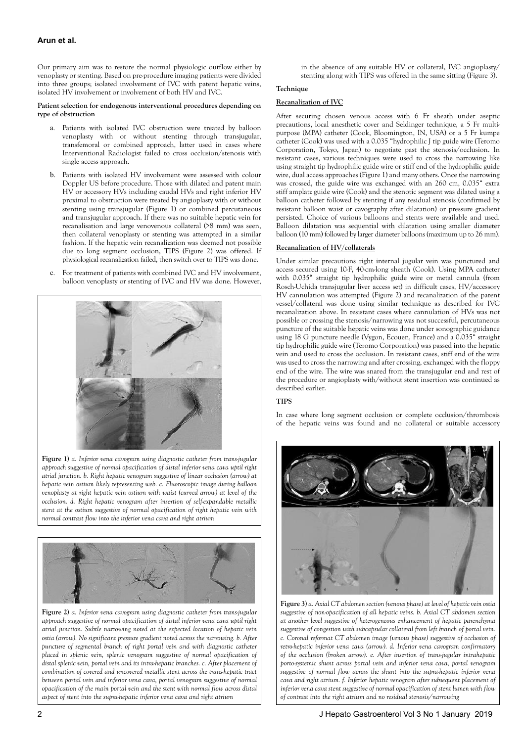# **Arun et al.**

Our primary aim was to restore the normal physiologic outflow either by venoplasty or stenting. Based on pre-procedure imaging patients were divided into three groups; isolated involvement of IVC with patent hepatic veins, isolated HV involvement or involvement of both HV and IVC.

### **Patient selection for endogenous interventional procedures depending on type of obstruction**

- a. Patients with isolated IVC obstruction were treated by balloon venoplasty with or without stenting through transjugular, transfemoral or combined approach, latter used in cases where Interventional Radiologist failed to cross occlusion/stenosis with single access approach.
- Patients with isolated HV involvement were assessed with colour Doppler US before procedure. Those with dilated and patent main HV or accessory HVs including caudal HVs and right inferior HV proximal to obstruction were treated by angioplasty with or without stenting using transjugular (Figure 1) or combined percutaneous and transjugular approach. If there was no suitable hepatic vein for recanalisation and large venovenous collateral (>8 mm) was seen, then collateral venoplasty or stenting was attempted in a similar fashion. If the hepatic vein recanalization was deemed not possible due to long segment occlusion, TIPS (Figure 2) was offered. If physiological recanalization failed, then switch over to TIPS was done.
- c. For treatment of patients with combined IVC and HV involvement, balloon venoplasty or stenting of IVC and HV was done. However,



**Figure 1)** *a. Inferior vena cavogram using diagnostic catheter from trans-jugular approach suggestive of normal opacification of distal inferior vena cava uptil right atrial junction. b. Right hepatic venogram suggestive of linear occlusion (arrow) at hepatic vein ostium likely representing web. c. Fluoroscopic image during balloon venoplasty at right hepatic vein ostium with waist (curved arrow) at level of the occlusion. d. Right hepatic venogram after insertion of self-expandable metallic stent at the ostium suggestive of normal opacification of right hepatic vein with normal contrast flow into the inferior vena cava and right atrium*



**Figure 2)** *a. Inferior vena cavogram using diagnostic catheter from trans-jugular approach suggestive of normal opacification of distal inferior vena cava uptil right atrial junction. Subtle narrowing noted at the expected location of hepatic vein ostia (arrow). No significant pressure gradient noted across the narrowing. b. After puncture of segmental branch of right portal vein and with diagnostic catheter placed in splenic vein, splenic venogram suggestive of normal opacification of distal splenic vein, portal vein and its intra-hepatic branches. c. After placement of combination of covered and uncovered metallic stent across the trans-hepatic tract between portal vein and inferior vena cava, portal venogram suggestive of normal opacification of the main portal vein and the stent with normal flow across distal aspect of stent into the supra-hepatic inferior vena cava and right atrium*

in the absence of any suitable HV or collateral, IVC angioplasty/ stenting along with TIPS was offered in the same sitting (Figure 3).

### **Technique**

# **Recanalization of IVC**

After securing chosen venous access with 6 Fr sheath under aseptic precautions, local anesthetic cover and Seldinger technique, a 5 Fr multipurpose (MPA) catheter (Cook, Bloomington, IN, USA) or a 5 Fr kumpe catheter (Cook) was used with a 0.035 "hydrophilic J tip guide wire (Teromo Corporation, Tokyo, Japan) to negotiate past the stenosis/occlusion. In resistant cases, various techniques were used to cross the narrowing like using straight tip hydrophilic guide wire or stiff end of the hydrophilic guide wire, dual access approaches (Figure 1) and many others. Once the narrowing was crossed, the guide wire was exchanged with an 260 cm, 0.035" extra stiff amplatz guide wire (Cook) and the stenotic segment was dilated using a balloon catheter followed by stenting if any residual stenosis (confirmed by resistant balloon waist or cavography after dilatation) or pressure gradient persisted. Choice of various balloons and stents were available and used. Balloon dilatation was sequential with dilatation using smaller diameter balloon (10 mm) followed by larger diameter balloons (maximum up to 26 mm).

# **Recanalization of HV/collaterals**

Under similar precautions right internal jugular vein was punctured and access secured using 10-F, 40-cm-long sheath (Cook). Using MPA catheter with 0.035" straight tip hydrophilic guide wire or metal cannula (from Rosch-Uchida transjugular liver access set) in difficult cases, HV/accessory HV cannulation was attempted (Figure 2) and recanalization of the parent vessel/collateral was done using similar technique as described for IVC recanalization above. In resistant cases where cannulation of HVs was not possible or crossing the stenosis/narrowing was not successful, percutaneous puncture of the suitable hepatic veins was done under sonographic guidance using 18 G puncture needle (Vygon, Ecouen, France) and a 0.035" straight tip hydrophilic guide wire (Teromo Corporation) was passed into the hepatic vein and used to cross the occlusion. In resistant cases, stiff end of the wire was used to cross the narrowing and after crossing, exchanged with the floppy end of the wire. The wire was snared from the transjugular end and rest of the procedure or angioplasty with/without stent insertion was continued as described earlier.

# **TIPS**

In case where long segment occlusion or complete occlusion/thrombosis of the hepatic veins was found and no collateral or suitable accessory



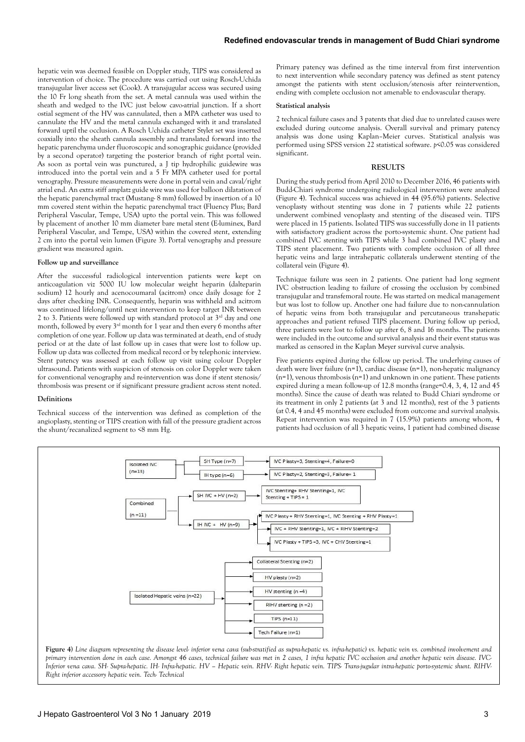hepatic vein was deemed feasible on Doppler study, TIPS was considered as intervention of choice. The procedure was carried out using Rosch-Uchida transjugular liver access set (Cook). A transjugular access was secured using the 10 Fr long sheath from the set. A metal cannula was used within the sheath and wedged to the IVC just below cavo-atrial junction. If a short ostial segment of the HV was cannulated, then a MPA catheter was used to cannulate the HV and the metal cannula exchanged with it and translated forward uptil the occlusion. A Rosch Uchida catheter Stylet set was inserted coaxially into the sheath cannula assembly and translated forward into the hepatic parenchyma under fluoroscopic and sonographic guidance (provided by a second operator) targeting the posterior branch of right portal vein. As soon as portal vein was punctured, a J tip hydrophilic guidewire was introduced into the portal vein and a 5 Fr MPA catheter used for portal venography. Pressure measurements were done in portal vein and caval/right atrial end. An extra stiff amplatz guide wire was used for balloon dilatation of the hepatic parenchymal tract (Mustang- 8 mm) followed by insertion of a 10 mm covered stent within the hepatic parenchymal tract (Fluency Plus; Bard Peripheral Vascular, Tempe, USA) upto the portal vein. This was followed by placement of another 10 mm diameter bare metal stent (E-luminex, Bard Peripheral Vascular, and Tempe, USA) within the covered stent, extending 2 cm into the portal vein lumen (Figure 3). Portal venography and pressure gradient was measured again.

#### **Follow up and surveillance**

After the successful radiological intervention patients were kept on anticoagulation viz 5000 IU low molecular weight heparin (dalteparin sodium) 12 hourly and acenocoumaral (acitrom) once daily dosage for 2 days after checking INR. Consequently, heparin was withheld and acitrom was continued lifelong/until next intervention to keep target INR between 2 to 3. Patients were followed up with standard protocol at  $3<sup>rd</sup>$  day and one month, followed by every  $3<sup>rd</sup>$  month for 1 year and then every 6 months after completion of one year. Follow up data was terminated at death, end of study period or at the date of last follow up in cases that were lost to follow up. Follow up data was collected from medical record or by telephonic interview. Stent patency was assessed at each follow up visit using colour Doppler ultrasound. Patients with suspicion of stenosis on color Doppler were taken for conventional venography and re-intervention was done if stent stenosis/ thrombosis was present or if significant pressure gradient across stent noted.

### **Definitions**

Technical success of the intervention was defined as completion of the angioplasty, stenting or TIPS creation with fall of the pressure gradient across the shunt/recanalized segment to <8 mm Hg.

Primary patency was defined as the time interval from first intervention to next intervention while secondary patency was defined as stent patency amongst the patients with stent occlusion/stenosis after reintervention, ending with complete occlusion not amenable to endovascular therapy.

#### **Statistical analysis**

2 technical failure cases and 3 patents that died due to unrelated causes were excluded during outcome analysis. Overall survival and primary patency analysis was done using Kaplan–Meier curves. Statistical analysis was performed using SPSS version 22 statistical software. *p*<0.05 was considered significant.

### **RESULTS**

During the study period from April 2010 to December 2016, 46 patients with Budd-Chiari syndrome undergoing radiological intervention were analyzed (Figure 4). Technical success was achieved in 44 (95.6%) patients. Selective venoplasty without stenting was done in 7 patients while 22 patients underwent combined venoplasty and stenting of the diseased vein. TIPS were placed in 15 patients. Isolated TIPS was successfully done in 11 patients with satisfactory gradient across the porto-systemic shunt. One patient had combined IVC stenting with TIPS while 3 had combined IVC plasty and TIPS stent placement. Two patients with complete occlusion of all three hepatic veins and large intrahepatic collaterals underwent stenting of the collateral vein (Figure 4).

Technique failure was seen in 2 patients. One patient had long segment IVC obstruction leading to failure of crossing the occlusion by combined transjugular and transfemoral route. He was started on medical management but was lost to follow up. Another one had failure due to non-cannulation of hepatic veins from both transjugular and percutaneous transhepatic approaches and patient refused TIPS placement. During follow up period, three patients were lost to follow up after 6, 8 and 16 months. The patients were included in the outcome and survival analysis and their event status was marked as censored in the Kaplan Meyer survival curve analysis.

Five patients expired during the follow up period. The underlying causes of death were liver failure (n=1), cardiac disease (n=1), non-hepatic malignancy  $(n=1)$ , venous thrombosis  $(n=1)$  and unknown in one patient. These patients expired during a mean follow-up of 12.8 months (range=0.4, 3, 4, 12 and 45 months). Since the cause of death was related to Budd Chiari syndrome or its treatment in only 2 patients (at 3 and 12 months), rest of the 3 patients (at 0.4, 4 and 45 months) were excluded from outcome and survival analysis. Repeat intervention was required in 7 (15.9%) patients among whom, 4 patients had occlusion of all 3 hepatic veins, 1 patient had combined disease



*primary intervention done in each case. Amongst 46 cases, technical failure was met in 2 cases, 1 infra hepatic IVC occlusion and another hepatic vein disease. IVC-Inferior vena cava. SH- Supra-hepatic. IH- Infra-hepatic. HV – Hepatic vein. RHV- Right hepatic vein. TIPS- Trans-jugular intra-hepatic porto-systemic shunt. RIHV-Right inferior accessory hepatic vein. Tech- Technical*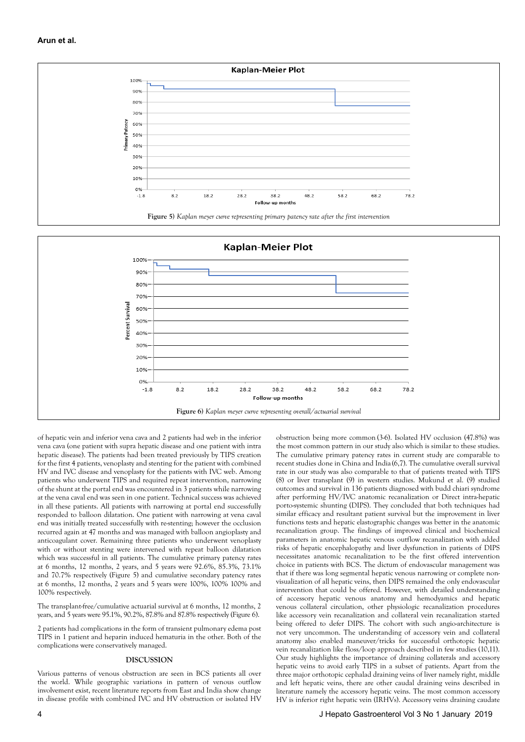



of hepatic vein and inferior vena cava and 2 patients had web in the inferior vena cava (one patient with supra hepatic disease and one patient with intra hepatic disease). The patients had been treated previously by TIPS creation for the first 4 patients, venoplasty and stenting for the patient with combined HV and IVC disease and venoplasty for the patients with IVC web. Among patients who underwent TIPS and required repeat intervention, narrowing of the shunt at the portal end was encountered in 3 patients while narrowing at the vena caval end was seen in one patient. Technical success was achieved in all these patients. All patients with narrowing at portal end successfully responded to balloon dilatation. One patient with narrowing at vena caval end was initially treated successfully with re-stenting; however the occlusion recurred again at 47 months and was managed with balloon angioplasty and anticoagulant cover. Remaining three patients who underwent venoplasty with or without stenting were intervened with repeat balloon dilatation which was successful in all patients. The cumulative primary patency rates at 6 months, 12 months, 2 years, and 5 years were 92.6%, 85.3%, 73.1% and 70.7% respectively (Figure 5) and cumulative secondary patency rates at 6 months, 12 months, 2 years and 5 years were 100%, 100% 100% and 100% respectively.

The transplant-free/cumulative actuarial survival at 6 months, 12 months, 2 years, and 5 years were 95.1%, 90.2%, 87.8% and 87.8% respectively (Figure 6).

2 patients had complications in the form of transient pulmonary edema post TIPS in 1 patient and heparin induced hematuria in the other. Both of the complications were conservatively managed.

### **DISCUSSION**

Various patterns of venous obstruction are seen in BCS patients all over the world. While geographic variations in pattern of venous outflow involvement exist, recent literature reports from East and India show change in disease profile with combined IVC and HV obstruction or isolated HV

obstruction being more common (3-6). Isolated HV occlusion (47.8%) was the most common pattern in our study also which is similar to these studies. The cumulative primary patency rates in current study are comparable to recent studies done in China and India (6,7). The cumulative overall survival rate in our study was also comparable to that of patients treated with TIPS (8) or liver transplant (9) in western studies. Mukund et al. (9) studied outcomes and survival in 136 patients diagnosed with budd chiari syndrome after performing HV/IVC anatomic recanalization or Direct intra-hepatic porto-systemic shunting (DIPS). They concluded that both techniques had similar efficacy and resultant patient survival but the improvement in liver functions tests and hepatic elastographic changes was better in the anatomic recanalization group. The findings of improved clinical and biochemical parameters in anatomic hepatic venous outflow recanalization with added risks of hepatic encephalopathy and liver dysfunction in patients of DIPS necessitates anatomic recanalization to be the first offered intervention choice in patients with BCS. The dictum of endovascular management was that if there was long segmental hepatic venous narrowing or complete nonvisualization of all hepatic veins, then DIPS remained the only endovascular intervention that could be offered. However, with detailed understanding of accessory hepatic venous anatomy and hemodyamics and hepatic venous collateral circulation, other physiologic recanalization procedures like accessory vein recanalization and collateral vein recanalization started being offered to defer DIPS. The cohort with such angio-architecture is not very uncommon. The understanding of accessory vein and collateral anatomy also enabled maneuver/tricks for successful orthotopic hepatic vein recanalization like floss/loop approach described in few studies (10,11). Our study highlights the importance of draining collaterals and accessory hepatic veins to avoid early TIPS in a subset of patients. Apart from the three major orthotopic cephalad draining veins of liver namely right, middle and left hepatic veins, there are other caudal draining veins described in literature namely the accessory hepatic veins. The most common accessory HV is inferior right hepatic vein (IRHVs). Accessory veins draining caudate